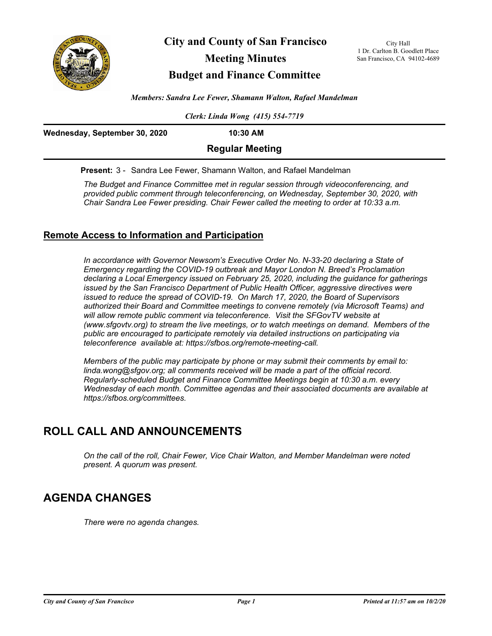

**City and County of San Francisco**

# **Meeting Minutes**

## **Budget and Finance Committee**

City Hall 1 Dr. Carlton B. Goodlett Place San Francisco, CA 94102-4689

*Members: Sandra Lee Fewer, Shamann Walton, Rafael Mandelman*

*Clerk: Linda Wong (415) 554-7719*

| Wednesday, September 30, 2020 | $10:30$ AM             |  |
|-------------------------------|------------------------|--|
|                               | <b>Regular Meeting</b> |  |
|                               |                        |  |

**Present:** 3 - Sandra Lee Fewer, Shamann Walton, and Rafael Mandelman

*The Budget and Finance Committee met in regular session through videoconferencing, and provided public comment through teleconferencing, on Wednesday, September 30, 2020, with Chair Sandra Lee Fewer presiding. Chair Fewer called the meeting to order at 10:33 a.m.*

## **Remote Access to Information and Participation**

In accordance with Governor Newsom's Executive Order No. N-33-20 declaring a State of *Emergency regarding the COVID-19 outbreak and Mayor London N. Breed's Proclamation declaring a Local Emergency issued on February 25, 2020, including the guidance for gatherings issued by the San Francisco Department of Public Health Officer, aggressive directives were issued to reduce the spread of COVID-19. On March 17, 2020, the Board of Supervisors authorized their Board and Committee meetings to convene remotely (via Microsoft Teams) and*  will allow remote public comment via teleconference. Visit the SFGovTV website at *(www.sfgovtv.org) to stream the live meetings, or to watch meetings on demand. Members of the public are encouraged to participate remotely via detailed instructions on participating via teleconference available at: https://sfbos.org/remote-meeting-call.* 

*Members of the public may participate by phone or may submit their comments by email to: linda.wong@sfgov.org; all comments received will be made a part of the official record. Regularly-scheduled Budget and Finance Committee Meetings begin at 10:30 a.m. every Wednesday of each month. Committee agendas and their associated documents are available at https://sfbos.org/committees.*

# **ROLL CALL AND ANNOUNCEMENTS**

*On the call of the roll, Chair Fewer, Vice Chair Walton, and Member Mandelman were noted present. A quorum was present.*

# **AGENDA CHANGES**

*There were no agenda changes.*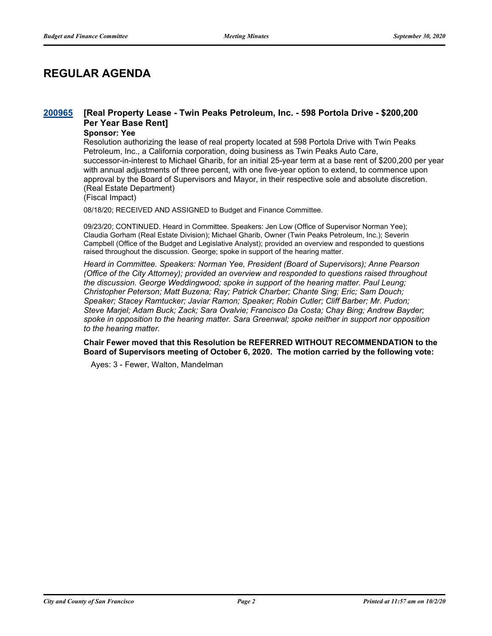# **REGULAR AGENDA**

#### **[Real Property Lease - Twin Peaks Petroleum, Inc. - 598 Portola Drive - \$200,200 Per Year Base Rent] [200965](http://sfgov.legistar.com/gateway.aspx?m=l&id=36401)**

### **Sponsor: Yee**

Resolution authorizing the lease of real property located at 598 Portola Drive with Twin Peaks Petroleum, Inc., a California corporation, doing business as Twin Peaks Auto Care, successor-in-interest to Michael Gharib, for an initial 25-year term at a base rent of \$200,200 per year with annual adjustments of three percent, with one five-year option to extend, to commence upon approval by the Board of Supervisors and Mayor, in their respective sole and absolute discretion. (Real Estate Department)

(Fiscal Impact)

08/18/20; RECEIVED AND ASSIGNED to Budget and Finance Committee.

09/23/20; CONTINUED. Heard in Committee. Speakers: Jen Low (Office of Supervisor Norman Yee); Claudia Gorham (Real Estate Division); Michael Gharib, Owner (Twin Peaks Petroleum, Inc.); Severin Campbell (Office of the Budget and Legislative Analyst); provided an overview and responded to questions raised throughout the discussion. George; spoke in support of the hearing matter.

*Heard in Committee. Speakers: Norman Yee, President (Board of Supervisors); Anne Pearson (Office of the City Attorney); provided an overview and responded to questions raised throughout the discussion. George Weddingwood; spoke in support of the hearing matter. Paul Leung; Christopher Peterson; Matt Buzena; Ray; Patrick Charber; Chante Sing; Eric; Sam Douch; Speaker; Stacey Ramtucker; Javiar Ramon; Speaker; Robin Cutler; Cliff Barber; Mr. Pudon; Steve Marjel; Adam Buck; Zack; Sara Ovalvie; Francisco Da Costa; Chay Bing; Andrew Bayder; spoke in opposition to the hearing matter. Sara Greenwal; spoke neither in support nor opposition to the hearing matter.*

**Chair Fewer moved that this Resolution be REFERRED WITHOUT RECOMMENDATION to the Board of Supervisors meeting of October 6, 2020. The motion carried by the following vote:**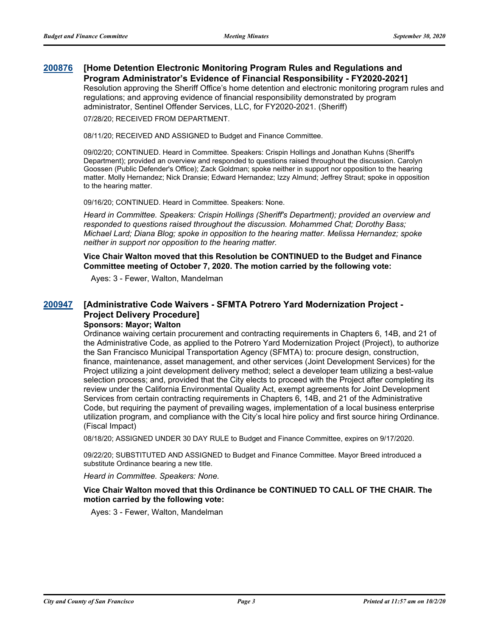#### **[Home Detention Electronic Monitoring Program Rules and Regulations and Program Administrator's Evidence of Financial Responsibility - FY2020-2021] [200876](http://sfgov.legistar.com/gateway.aspx?m=l&id=36312)**

Resolution approving the Sheriff Office's home detention and electronic monitoring program rules and regulations; and approving evidence of financial responsibility demonstrated by program administrator, Sentinel Offender Services, LLC, for FY2020-2021. (Sheriff)

07/28/20; RECEIVED FROM DEPARTMENT.

08/11/20; RECEIVED AND ASSIGNED to Budget and Finance Committee.

09/02/20; CONTINUED. Heard in Committee. Speakers: Crispin Hollings and Jonathan Kuhns (Sheriff's Department); provided an overview and responded to questions raised throughout the discussion. Carolyn Goossen (Public Defender's Office); Zack Goldman; spoke neither in support nor opposition to the hearing matter. Molly Hernandez; Nick Dransie; Edward Hernandez; Izzy Almund; Jeffrey Straut; spoke in opposition to the hearing matter.

09/16/20; CONTINUED. Heard in Committee. Speakers: None.

*Heard in Committee. Speakers: Crispin Hollings (Sheriff's Department); provided an overview and responded to questions raised throughout the discussion. Mohammed Chat; Dorothy Bass; Michael Lard; Diana Blog; spoke in opposition to the hearing matter. Melissa Hernandez; spoke neither in support nor opposition to the hearing matter.*

**Vice Chair Walton moved that this Resolution be CONTINUED to the Budget and Finance Committee meeting of October 7, 2020. The motion carried by the following vote:**

Ayes: 3 - Fewer, Walton, Mandelman

#### **[Administrative Code Waivers - SFMTA Potrero Yard Modernization Project - Project Delivery Procedure] [200947](http://sfgov.legistar.com/gateway.aspx?m=l&id=36383) Sponsors: Mayor; Walton**

Ordinance waiving certain procurement and contracting requirements in Chapters 6, 14B, and 21 of the Administrative Code, as applied to the Potrero Yard Modernization Project (Project), to authorize the San Francisco Municipal Transportation Agency (SFMTA) to: procure design, construction, finance, maintenance, asset management, and other services (Joint Development Services) for the Project utilizing a joint development delivery method; select a developer team utilizing a best-value selection process; and, provided that the City elects to proceed with the Project after completing its review under the California Environmental Quality Act, exempt agreements for Joint Development Services from certain contracting requirements in Chapters 6, 14B, and 21 of the Administrative Code, but requiring the payment of prevailing wages, implementation of a local business enterprise utilization program, and compliance with the City's local hire policy and first source hiring Ordinance. (Fiscal Impact)

08/18/20; ASSIGNED UNDER 30 DAY RULE to Budget and Finance Committee, expires on 9/17/2020.

09/22/20; SUBSTITUTED AND ASSIGNED to Budget and Finance Committee. Mayor Breed introduced a substitute Ordinance bearing a new title.

*Heard in Committee. Speakers: None.*

**Vice Chair Walton moved that this Ordinance be CONTINUED TO CALL OF THE CHAIR. The motion carried by the following vote:**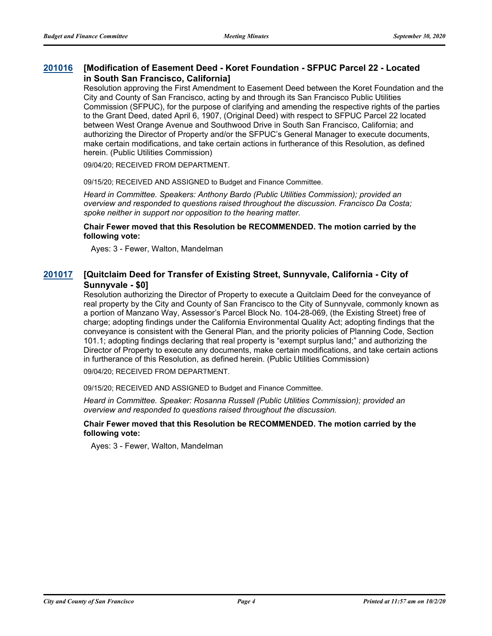#### **[Modification of Easement Deed - Koret Foundation - SFPUC Parcel 22 - Located in South San Francisco, California] [201016](http://sfgov.legistar.com/gateway.aspx?m=l&id=36452)**

Resolution approving the First Amendment to Easement Deed between the Koret Foundation and the City and County of San Francisco, acting by and through its San Francisco Public Utilities Commission (SFPUC), for the purpose of clarifying and amending the respective rights of the parties to the Grant Deed, dated April 6, 1907, (Original Deed) with respect to SFPUC Parcel 22 located between West Orange Avenue and Southwood Drive in South San Francisco, California; and authorizing the Director of Property and/or the SFPUC's General Manager to execute documents, make certain modifications, and take certain actions in furtherance of this Resolution, as defined herein. (Public Utilities Commission)

09/04/20; RECEIVED FROM DEPARTMENT.

09/15/20; RECEIVED AND ASSIGNED to Budget and Finance Committee.

*Heard in Committee. Speakers: Anthony Bardo (Public Utilities Commission); provided an overview and responded to questions raised throughout the discussion. Francisco Da Costa; spoke neither in support nor opposition to the hearing matter.*

**Chair Fewer moved that this Resolution be RECOMMENDED. The motion carried by the following vote:**

Ayes: 3 - Fewer, Walton, Mandelman

#### **[Quitclaim Deed for Transfer of Existing Street, Sunnyvale, California - City of Sunnyvale - \$0] [201017](http://sfgov.legistar.com/gateway.aspx?m=l&id=36453)**

Resolution authorizing the Director of Property to execute a Quitclaim Deed for the conveyance of real property by the City and County of San Francisco to the City of Sunnyvale, commonly known as a portion of Manzano Way, Assessor's Parcel Block No. 104-28-069, (the Existing Street) free of charge; adopting findings under the California Environmental Quality Act; adopting findings that the conveyance is consistent with the General Plan, and the priority policies of Planning Code, Section 101.1; adopting findings declaring that real property is "exempt surplus land;" and authorizing the Director of Property to execute any documents, make certain modifications, and take certain actions in furtherance of this Resolution, as defined herein. (Public Utilities Commission)

09/04/20; RECEIVED FROM DEPARTMENT.

09/15/20; RECEIVED AND ASSIGNED to Budget and Finance Committee.

*Heard in Committee. Speaker: Rosanna Russell (Public Utilities Commission); provided an overview and responded to questions raised throughout the discussion.*

### **Chair Fewer moved that this Resolution be RECOMMENDED. The motion carried by the following vote:**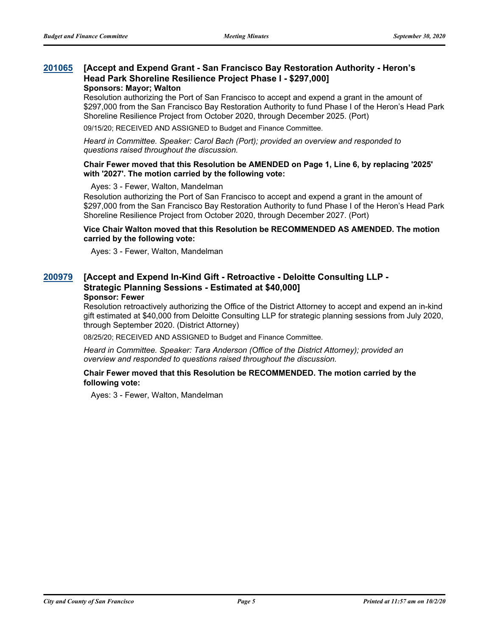#### **[Accept and Expend Grant - San Francisco Bay Restoration Authority - Heron's Head Park Shoreline Resilience Project Phase I - \$297,000] [201065](http://sfgov.legistar.com/gateway.aspx?m=l&id=36501) Sponsors: Mayor; Walton**

Resolution authorizing the Port of San Francisco to accept and expend a grant in the amount of \$297,000 from the San Francisco Bay Restoration Authority to fund Phase I of the Heron's Head Park Shoreline Resilience Project from October 2020, through December 2025. (Port)

09/15/20; RECEIVED AND ASSIGNED to Budget and Finance Committee.

*Heard in Committee. Speaker: Carol Bach (Port); provided an overview and responded to questions raised throughout the discussion.*

### **Chair Fewer moved that this Resolution be AMENDED on Page 1, Line 6, by replacing '2025' with '2027'. The motion carried by the following vote:**

Ayes: 3 - Fewer, Walton, Mandelman

Resolution authorizing the Port of San Francisco to accept and expend a grant in the amount of \$297,000 from the San Francisco Bay Restoration Authority to fund Phase I of the Heron's Head Park Shoreline Resilience Project from October 2020, through December 2027. (Port)

### **Vice Chair Walton moved that this Resolution be RECOMMENDED AS AMENDED. The motion carried by the following vote:**

Ayes: 3 - Fewer, Walton, Mandelman

#### **[Accept and Expend In-Kind Gift - Retroactive - Deloitte Consulting LLP - Strategic Planning Sessions - Estimated at \$40,000] [200979](http://sfgov.legistar.com/gateway.aspx?m=l&id=36415) Sponsor: Fewer**

Resolution retroactively authorizing the Office of the District Attorney to accept and expend an in-kind gift estimated at \$40,000 from Deloitte Consulting LLP for strategic planning sessions from July 2020, through September 2020. (District Attorney)

08/25/20; RECEIVED AND ASSIGNED to Budget and Finance Committee.

*Heard in Committee. Speaker: Tara Anderson (Office of the District Attorney); provided an overview and responded to questions raised throughout the discussion.*

### **Chair Fewer moved that this Resolution be RECOMMENDED. The motion carried by the following vote:**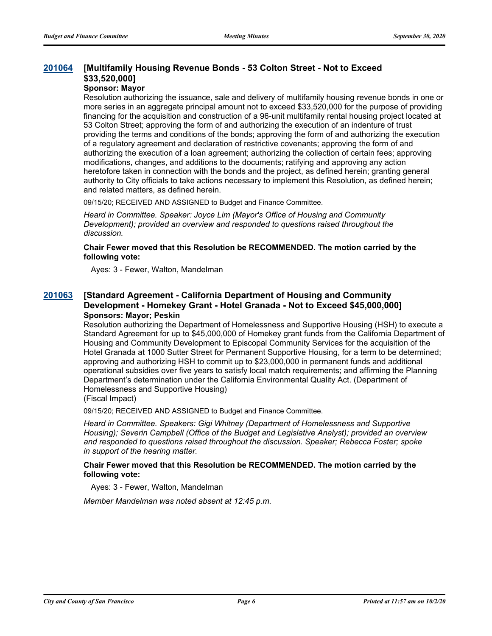### **[Multifamily Housing Revenue Bonds - 53 Colton Street - Not to Exceed \$33,520,000] [201064](http://sfgov.legistar.com/gateway.aspx?m=l&id=36500)**

## **Sponsor: Mayor**

Resolution authorizing the issuance, sale and delivery of multifamily housing revenue bonds in one or more series in an aggregate principal amount not to exceed \$33,520,000 for the purpose of providing financing for the acquisition and construction of a 96-unit multifamily rental housing project located at 53 Colton Street; approving the form of and authorizing the execution of an indenture of trust providing the terms and conditions of the bonds; approving the form of and authorizing the execution of a regulatory agreement and declaration of restrictive covenants; approving the form of and authorizing the execution of a loan agreement; authorizing the collection of certain fees; approving modifications, changes, and additions to the documents; ratifying and approving any action heretofore taken in connection with the bonds and the project, as defined herein; granting general authority to City officials to take actions necessary to implement this Resolution, as defined herein; and related matters, as defined herein.

09/15/20; RECEIVED AND ASSIGNED to Budget and Finance Committee.

*Heard in Committee. Speaker: Joyce Lim (Mayor's Office of Housing and Community Development); provided an overview and responded to questions raised throughout the discussion.*

**Chair Fewer moved that this Resolution be RECOMMENDED. The motion carried by the following vote:**

Ayes: 3 - Fewer, Walton, Mandelman

#### **[Standard Agreement - California Department of Housing and Community Development - Homekey Grant - Hotel Granada - Not to Exceed \$45,000,000] [201063](http://sfgov.legistar.com/gateway.aspx?m=l&id=36499) Sponsors: Mayor; Peskin**

Resolution authorizing the Department of Homelessness and Supportive Housing (HSH) to execute a Standard Agreement for up to \$45,000,000 of Homekey grant funds from the California Department of Housing and Community Development to Episcopal Community Services for the acquisition of the Hotel Granada at 1000 Sutter Street for Permanent Supportive Housing, for a term to be determined; approving and authorizing HSH to commit up to \$23,000,000 in permanent funds and additional operational subsidies over five years to satisfy local match requirements; and affirming the Planning Department's determination under the California Environmental Quality Act. (Department of Homelessness and Supportive Housing)

(Fiscal Impact)

09/15/20; RECEIVED AND ASSIGNED to Budget and Finance Committee.

*Heard in Committee. Speakers: Gigi Whitney (Department of Homelessness and Supportive Housing); Severin Campbell (Office of the Budget and Legislative Analyst); provided an overview and responded to questions raised throughout the discussion. Speaker; Rebecca Foster; spoke in support of the hearing matter.*

### **Chair Fewer moved that this Resolution be RECOMMENDED. The motion carried by the following vote:**

Ayes: 3 - Fewer, Walton, Mandelman

*Member Mandelman was noted absent at 12:45 p.m.*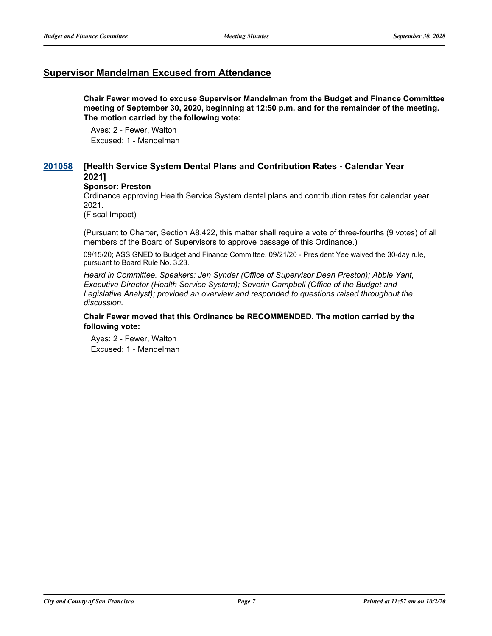## **Supervisor Mandelman Excused from Attendance**

**Chair Fewer moved to excuse Supervisor Mandelman from the Budget and Finance Committee meeting of September 30, 2020, beginning at 12:50 p.m. and for the remainder of the meeting. The motion carried by the following vote:**

Ayes: 2 - Fewer, Walton Excused: 1 - Mandelman

#### **[Health Service System Dental Plans and Contribution Rates - Calendar Year 2021] [201058](http://sfgov.legistar.com/gateway.aspx?m=l&id=36494)**

### **Sponsor: Preston**

Ordinance approving Health Service System dental plans and contribution rates for calendar year 2021.

(Fiscal Impact)

(Pursuant to Charter, Section A8.422, this matter shall require a vote of three-fourths (9 votes) of all members of the Board of Supervisors to approve passage of this Ordinance.)

09/15/20; ASSIGNED to Budget and Finance Committee. 09/21/20 - President Yee waived the 30-day rule, pursuant to Board Rule No. 3.23.

*Heard in Committee. Speakers: Jen Synder (Office of Supervisor Dean Preston); Abbie Yant, Executive Director (Health Service System); Severin Campbell (Office of the Budget and*  Legislative Analyst); provided an overview and responded to questions raised throughout the *discussion.*

### **Chair Fewer moved that this Ordinance be RECOMMENDED. The motion carried by the following vote:**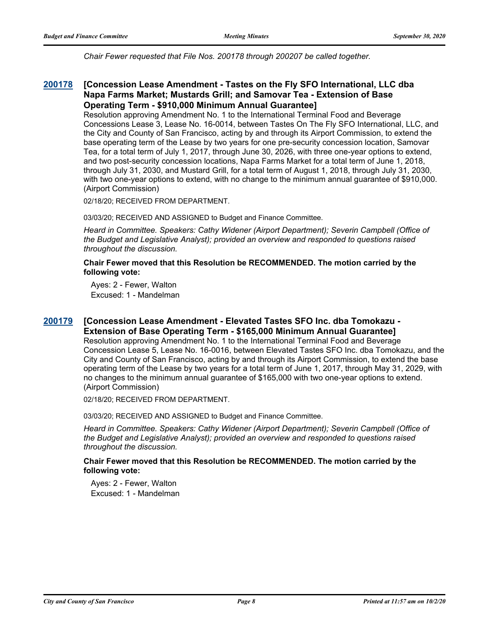*Chair Fewer requested that File Nos. 200178 through 200207 be called together.*

#### **[Concession Lease Amendment - Tastes on the Fly SFO International, LLC dba Napa Farms Market; Mustards Grill; and Samovar Tea - Extension of Base Operating Term - \$910,000 Minimum Annual Guarantee] [200178](http://sfgov.legistar.com/gateway.aspx?m=l&id=35614)**

Resolution approving Amendment No. 1 to the International Terminal Food and Beverage Concessions Lease 3, Lease No. 16-0014, between Tastes On The Fly SFO International, LLC, and the City and County of San Francisco, acting by and through its Airport Commission, to extend the base operating term of the Lease by two years for one pre-security concession location, Samovar Tea, for a total term of July 1, 2017, through June 30, 2026, with three one-year options to extend, and two post-security concession locations, Napa Farms Market for a total term of June 1, 2018, through July 31, 2030, and Mustard Grill, for a total term of August 1, 2018, through July 31, 2030, with two one-year options to extend, with no change to the minimum annual guarantee of \$910,000. (Airport Commission)

02/18/20; RECEIVED FROM DEPARTMENT.

03/03/20; RECEIVED AND ASSIGNED to Budget and Finance Committee.

*Heard in Committee. Speakers: Cathy Widener (Airport Department); Severin Campbell (Office of the Budget and Legislative Analyst); provided an overview and responded to questions raised throughout the discussion.*

**Chair Fewer moved that this Resolution be RECOMMENDED. The motion carried by the following vote:**

Ayes: 2 - Fewer, Walton Excused: 1 - Mandelman

### **[Concession Lease Amendment - Elevated Tastes SFO Inc. dba Tomokazu - Extension of Base Operating Term - \$165,000 Minimum Annual Guarantee] [200179](http://sfgov.legistar.com/gateway.aspx?m=l&id=35615)**

Resolution approving Amendment No. 1 to the International Terminal Food and Beverage Concession Lease 5, Lease No. 16-0016, between Elevated Tastes SFO Inc. dba Tomokazu, and the City and County of San Francisco, acting by and through its Airport Commission, to extend the base operating term of the Lease by two years for a total term of June 1, 2017, through May 31, 2029, with no changes to the minimum annual guarantee of \$165,000 with two one-year options to extend. (Airport Commission)

02/18/20; RECEIVED FROM DEPARTMENT.

03/03/20; RECEIVED AND ASSIGNED to Budget and Finance Committee.

*Heard in Committee. Speakers: Cathy Widener (Airport Department); Severin Campbell (Office of the Budget and Legislative Analyst); provided an overview and responded to questions raised throughout the discussion.*

### **Chair Fewer moved that this Resolution be RECOMMENDED. The motion carried by the following vote:**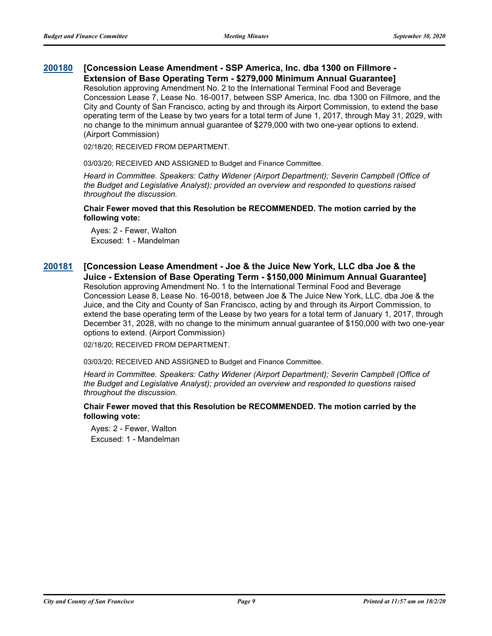#### **[Concession Lease Amendment - SSP America, Inc. dba 1300 on Fillmore - Extension of Base Operating Term - \$279,000 Minimum Annual Guarantee] [200180](http://sfgov.legistar.com/gateway.aspx?m=l&id=35616)**

Resolution approving Amendment No. 2 to the International Terminal Food and Beverage Concession Lease 7, Lease No. 16-0017, between SSP America, Inc. dba 1300 on Fillmore, and the City and County of San Francisco, acting by and through its Airport Commission, to extend the base operating term of the Lease by two years for a total term of June 1, 2017, through May 31, 2029, with no change to the minimum annual guarantee of \$279,000 with two one-year options to extend. (Airport Commission)

02/18/20; RECEIVED FROM DEPARTMENT.

03/03/20; RECEIVED AND ASSIGNED to Budget and Finance Committee.

*Heard in Committee. Speakers: Cathy Widener (Airport Department); Severin Campbell (Office of the Budget and Legislative Analyst); provided an overview and responded to questions raised throughout the discussion.*

**Chair Fewer moved that this Resolution be RECOMMENDED. The motion carried by the following vote:**

Ayes: 2 - Fewer, Walton Excused: 1 - Mandelman

### **[Concession Lease Amendment - Joe & the Juice New York, LLC dba Joe & the Juice - Extension of Base Operating Term - \$150,000 Minimum Annual Guarantee] [200181](http://sfgov.legistar.com/gateway.aspx?m=l&id=35617)** Resolution approving Amendment No. 1 to the International Terminal Food and Beverage Concession Lease 8, Lease No. 16-0018, between Joe & The Juice New York, LLC, dba Joe & the Juice, and the City and County of San Francisco, acting by and through its Airport Commission, to extend the base operating term of the Lease by two years for a total term of January 1, 2017, through December 31, 2028, with no change to the minimum annual guarantee of \$150,000 with two one-year options to extend. (Airport Commission)

02/18/20; RECEIVED FROM DEPARTMENT.

03/03/20; RECEIVED AND ASSIGNED to Budget and Finance Committee.

*Heard in Committee. Speakers: Cathy Widener (Airport Department); Severin Campbell (Office of the Budget and Legislative Analyst); provided an overview and responded to questions raised throughout the discussion.*

### **Chair Fewer moved that this Resolution be RECOMMENDED. The motion carried by the following vote:**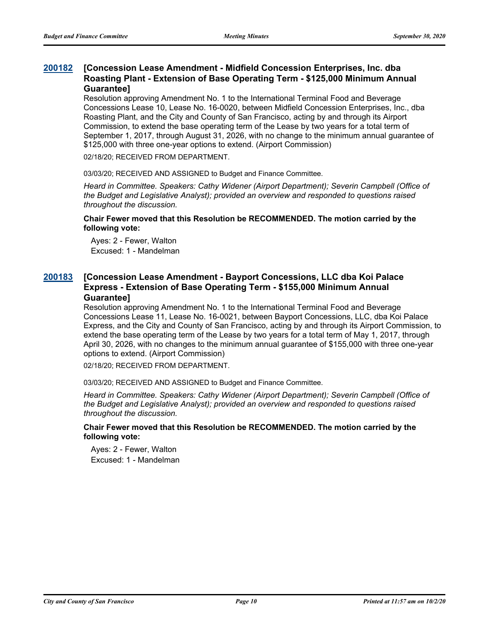#### **[Concession Lease Amendment - Midfield Concession Enterprises, Inc. dba Roasting Plant - Extension of Base Operating Term - \$125,000 Minimum Annual Guarantee] [200182](http://sfgov.legistar.com/gateway.aspx?m=l&id=35618)**

Resolution approving Amendment No. 1 to the International Terminal Food and Beverage Concessions Lease 10, Lease No. 16-0020, between Midfield Concession Enterprises, Inc., dba Roasting Plant, and the City and County of San Francisco, acting by and through its Airport Commission, to extend the base operating term of the Lease by two years for a total term of September 1, 2017, through August 31, 2026, with no change to the minimum annual guarantee of \$125,000 with three one-year options to extend. (Airport Commission)

02/18/20; RECEIVED FROM DEPARTMENT.

03/03/20; RECEIVED AND ASSIGNED to Budget and Finance Committee.

*Heard in Committee. Speakers: Cathy Widener (Airport Department); Severin Campbell (Office of the Budget and Legislative Analyst); provided an overview and responded to questions raised throughout the discussion.*

### **Chair Fewer moved that this Resolution be RECOMMENDED. The motion carried by the following vote:**

Ayes: 2 - Fewer, Walton Excused: 1 - Mandelman

#### **[Concession Lease Amendment - Bayport Concessions, LLC dba Koi Palace Express - Extension of Base Operating Term - \$155,000 Minimum Annual Guarantee] [200183](http://sfgov.legistar.com/gateway.aspx?m=l&id=35619)**

Resolution approving Amendment No. 1 to the International Terminal Food and Beverage Concessions Lease 11, Lease No. 16-0021, between Bayport Concessions, LLC, dba Koi Palace Express, and the City and County of San Francisco, acting by and through its Airport Commission, to extend the base operating term of the Lease by two years for a total term of May 1, 2017, through April 30, 2026, with no changes to the minimum annual guarantee of \$155,000 with three one-year options to extend. (Airport Commission)

02/18/20; RECEIVED FROM DEPARTMENT.

03/03/20; RECEIVED AND ASSIGNED to Budget and Finance Committee.

*Heard in Committee. Speakers: Cathy Widener (Airport Department); Severin Campbell (Office of the Budget and Legislative Analyst); provided an overview and responded to questions raised throughout the discussion.*

### **Chair Fewer moved that this Resolution be RECOMMENDED. The motion carried by the following vote:**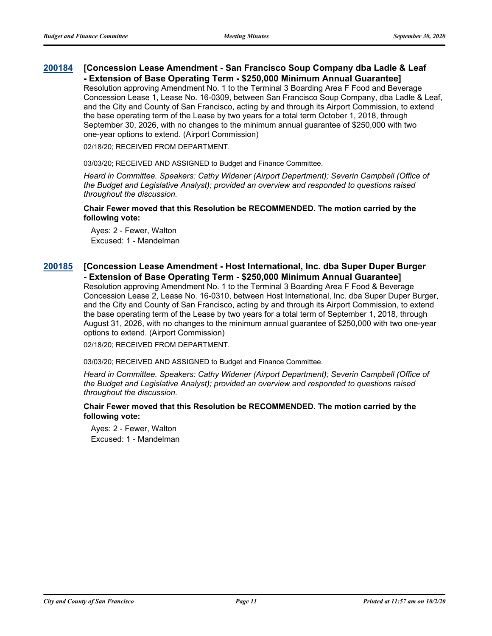#### **[Concession Lease Amendment - San Francisco Soup Company dba Ladle & Leaf - Extension of Base Operating Term - \$250,000 Minimum Annual Guarantee] [200184](http://sfgov.legistar.com/gateway.aspx?m=l&id=35620)**

Resolution approving Amendment No. 1 to the Terminal 3 Boarding Area F Food and Beverage Concession Lease 1, Lease No. 16-0309, between San Francisco Soup Company, dba Ladle & Leaf, and the City and County of San Francisco, acting by and through its Airport Commission, to extend the base operating term of the Lease by two years for a total term October 1, 2018, through September 30, 2026, with no changes to the minimum annual guarantee of \$250,000 with two one-year options to extend. (Airport Commission)

02/18/20; RECEIVED FROM DEPARTMENT.

03/03/20; RECEIVED AND ASSIGNED to Budget and Finance Committee.

*Heard in Committee. Speakers: Cathy Widener (Airport Department); Severin Campbell (Office of the Budget and Legislative Analyst); provided an overview and responded to questions raised throughout the discussion.*

**Chair Fewer moved that this Resolution be RECOMMENDED. The motion carried by the following vote:**

Ayes: 2 - Fewer, Walton Excused: 1 - Mandelman

### **[Concession Lease Amendment - Host International, Inc. dba Super Duper Burger - Extension of Base Operating Term - \$250,000 Minimum Annual Guarantee] [200185](http://sfgov.legistar.com/gateway.aspx?m=l&id=35621)**

Resolution approving Amendment No. 1 to the Terminal 3 Boarding Area F Food & Beverage Concession Lease 2, Lease No. 16-0310, between Host International, Inc. dba Super Duper Burger, and the City and County of San Francisco, acting by and through its Airport Commission, to extend the base operating term of the Lease by two years for a total term of September 1, 2018, through August 31, 2026, with no changes to the minimum annual guarantee of \$250,000 with two one-year options to extend. (Airport Commission)

02/18/20; RECEIVED FROM DEPARTMENT.

03/03/20; RECEIVED AND ASSIGNED to Budget and Finance Committee.

*Heard in Committee. Speakers: Cathy Widener (Airport Department); Severin Campbell (Office of the Budget and Legislative Analyst); provided an overview and responded to questions raised throughout the discussion.*

### **Chair Fewer moved that this Resolution be RECOMMENDED. The motion carried by the following vote:**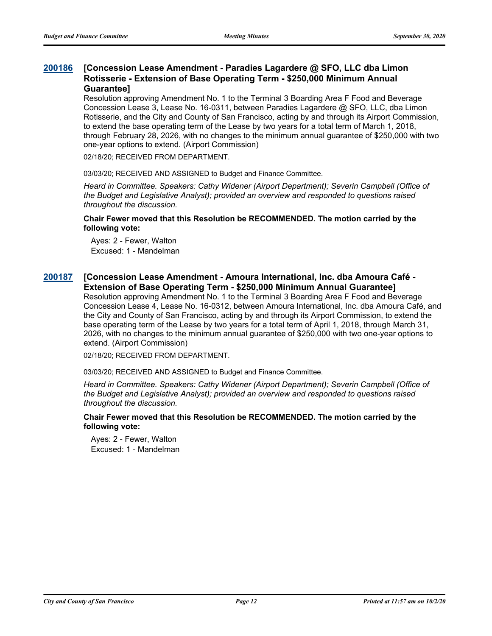#### **[Concession Lease Amendment - Paradies Lagardere @ SFO, LLC dba Limon Rotisserie - Extension of Base Operating Term - \$250,000 Minimum Annual Guarantee] [200186](http://sfgov.legistar.com/gateway.aspx?m=l&id=35622)**

Resolution approving Amendment No. 1 to the Terminal 3 Boarding Area F Food and Beverage Concession Lease 3, Lease No. 16-0311, between Paradies Lagardere @ SFO, LLC, dba Limon Rotisserie, and the City and County of San Francisco, acting by and through its Airport Commission, to extend the base operating term of the Lease by two years for a total term of March 1, 2018, through February 28, 2026, with no changes to the minimum annual guarantee of \$250,000 with two one-year options to extend. (Airport Commission)

02/18/20; RECEIVED FROM DEPARTMENT.

03/03/20; RECEIVED AND ASSIGNED to Budget and Finance Committee.

*Heard in Committee. Speakers: Cathy Widener (Airport Department); Severin Campbell (Office of the Budget and Legislative Analyst); provided an overview and responded to questions raised throughout the discussion.*

### **Chair Fewer moved that this Resolution be RECOMMENDED. The motion carried by the following vote:**

Ayes: 2 - Fewer, Walton Excused: 1 - Mandelman

#### **[Concession Lease Amendment - Amoura International, Inc. dba Amoura Café - Extension of Base Operating Term - \$250,000 Minimum Annual Guarantee] [200187](http://sfgov.legistar.com/gateway.aspx?m=l&id=35623)**

Resolution approving Amendment No. 1 to the Terminal 3 Boarding Area F Food and Beverage Concession Lease 4, Lease No. 16-0312, between Amoura International, Inc. dba Amoura Café, and the City and County of San Francisco, acting by and through its Airport Commission, to extend the base operating term of the Lease by two years for a total term of April 1, 2018, through March 31, 2026, with no changes to the minimum annual guarantee of \$250,000 with two one-year options to extend. (Airport Commission)

02/18/20; RECEIVED FROM DEPARTMENT.

03/03/20; RECEIVED AND ASSIGNED to Budget and Finance Committee.

*Heard in Committee. Speakers: Cathy Widener (Airport Department); Severin Campbell (Office of the Budget and Legislative Analyst); provided an overview and responded to questions raised throughout the discussion.*

### **Chair Fewer moved that this Resolution be RECOMMENDED. The motion carried by the following vote:**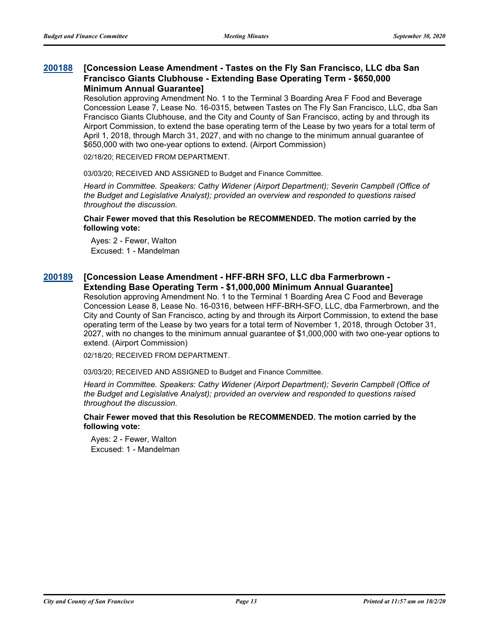### **[Concession Lease Amendment - Tastes on the Fly San Francisco, LLC dba San Francisco Giants Clubhouse - Extending Base Operating Term - \$650,000 Minimum Annual Guarantee] [200188](http://sfgov.legistar.com/gateway.aspx?m=l&id=35624)**

Resolution approving Amendment No. 1 to the Terminal 3 Boarding Area F Food and Beverage Concession Lease 7, Lease No. 16-0315, between Tastes on The Fly San Francisco, LLC, dba San Francisco Giants Clubhouse, and the City and County of San Francisco, acting by and through its Airport Commission, to extend the base operating term of the Lease by two years for a total term of April 1, 2018, through March 31, 2027, and with no change to the minimum annual guarantee of \$650,000 with two one-year options to extend. (Airport Commission)

02/18/20; RECEIVED FROM DEPARTMENT.

03/03/20; RECEIVED AND ASSIGNED to Budget and Finance Committee.

*Heard in Committee. Speakers: Cathy Widener (Airport Department); Severin Campbell (Office of the Budget and Legislative Analyst); provided an overview and responded to questions raised throughout the discussion.*

### **Chair Fewer moved that this Resolution be RECOMMENDED. The motion carried by the following vote:**

Ayes: 2 - Fewer, Walton Excused: 1 - Mandelman

#### **[Concession Lease Amendment - HFF-BRH SFO, LLC dba Farmerbrown - Extending Base Operating Term - \$1,000,000 Minimum Annual Guarantee] [200189](http://sfgov.legistar.com/gateway.aspx?m=l&id=35625)**

Resolution approving Amendment No. 1 to the Terminal 1 Boarding Area C Food and Beverage Concession Lease 8, Lease No. 16-0316, between HFF-BRH-SFO, LLC, dba Farmerbrown, and the City and County of San Francisco, acting by and through its Airport Commission, to extend the base operating term of the Lease by two years for a total term of November 1, 2018, through October 31, 2027, with no changes to the minimum annual guarantee of \$1,000,000 with two one-year options to extend. (Airport Commission)

02/18/20; RECEIVED FROM DEPARTMENT.

03/03/20; RECEIVED AND ASSIGNED to Budget and Finance Committee.

*Heard in Committee. Speakers: Cathy Widener (Airport Department); Severin Campbell (Office of the Budget and Legislative Analyst); provided an overview and responded to questions raised throughout the discussion.*

### **Chair Fewer moved that this Resolution be RECOMMENDED. The motion carried by the following vote:**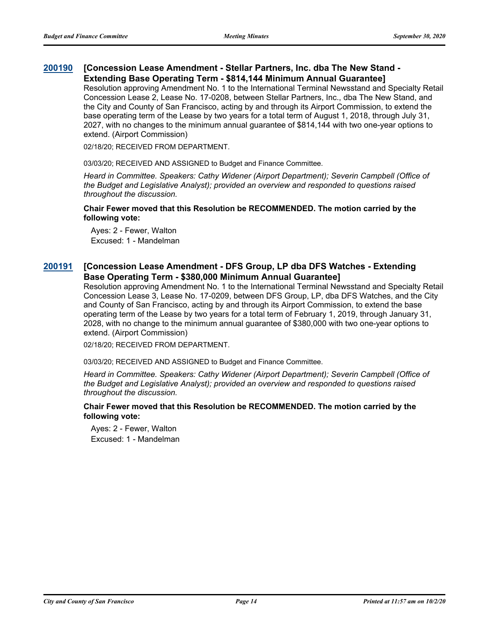#### **[Concession Lease Amendment - Stellar Partners, Inc. dba The New Stand - Extending Base Operating Term - \$814,144 Minimum Annual Guarantee] [200190](http://sfgov.legistar.com/gateway.aspx?m=l&id=35626)**

Resolution approving Amendment No. 1 to the International Terminal Newsstand and Specialty Retail Concession Lease 2, Lease No. 17-0208, between Stellar Partners, Inc., dba The New Stand, and the City and County of San Francisco, acting by and through its Airport Commission, to extend the base operating term of the Lease by two years for a total term of August 1, 2018, through July 31, 2027, with no changes to the minimum annual guarantee of \$814,144 with two one-year options to extend. (Airport Commission)

02/18/20; RECEIVED FROM DEPARTMENT.

03/03/20; RECEIVED AND ASSIGNED to Budget and Finance Committee.

*Heard in Committee. Speakers: Cathy Widener (Airport Department); Severin Campbell (Office of the Budget and Legislative Analyst); provided an overview and responded to questions raised throughout the discussion.*

**Chair Fewer moved that this Resolution be RECOMMENDED. The motion carried by the following vote:**

Ayes: 2 - Fewer, Walton Excused: 1 - Mandelman

#### **[Concession Lease Amendment - DFS Group, LP dba DFS Watches - Extending Base Operating Term - \$380,000 Minimum Annual Guarantee] [200191](http://sfgov.legistar.com/gateway.aspx?m=l&id=35627)**

Resolution approving Amendment No. 1 to the International Terminal Newsstand and Specialty Retail Concession Lease 3, Lease No. 17-0209, between DFS Group, LP, dba DFS Watches, and the City and County of San Francisco, acting by and through its Airport Commission, to extend the base operating term of the Lease by two years for a total term of February 1, 2019, through January 31, 2028, with no change to the minimum annual guarantee of \$380,000 with two one-year options to extend. (Airport Commission)

02/18/20; RECEIVED FROM DEPARTMENT.

03/03/20; RECEIVED AND ASSIGNED to Budget and Finance Committee.

*Heard in Committee. Speakers: Cathy Widener (Airport Department); Severin Campbell (Office of the Budget and Legislative Analyst); provided an overview and responded to questions raised throughout the discussion.*

### **Chair Fewer moved that this Resolution be RECOMMENDED. The motion carried by the following vote:**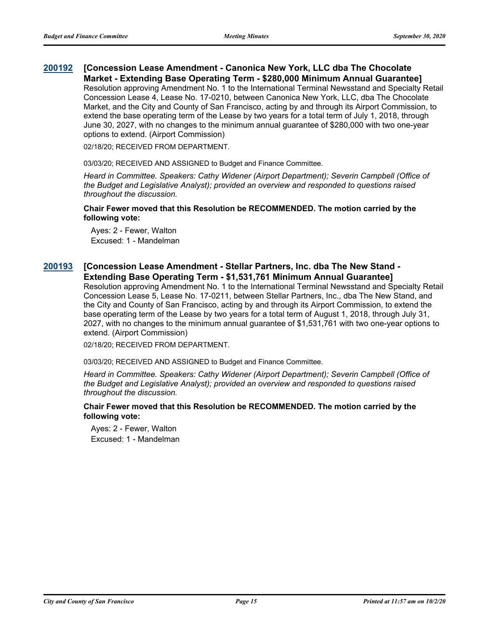#### **[Concession Lease Amendment - Canonica New York, LLC dba The Chocolate Market - Extending Base Operating Term - \$280,000 Minimum Annual Guarantee] [200192](http://sfgov.legistar.com/gateway.aspx?m=l&id=35628)**

Resolution approving Amendment No. 1 to the International Terminal Newsstand and Specialty Retail Concession Lease 4, Lease No. 17-0210, between Canonica New York, LLC, dba The Chocolate Market, and the City and County of San Francisco, acting by and through its Airport Commission, to extend the base operating term of the Lease by two years for a total term of July 1, 2018, through June 30, 2027, with no changes to the minimum annual guarantee of \$280,000 with two one-year options to extend. (Airport Commission)

02/18/20; RECEIVED FROM DEPARTMENT.

03/03/20; RECEIVED AND ASSIGNED to Budget and Finance Committee.

*Heard in Committee. Speakers: Cathy Widener (Airport Department); Severin Campbell (Office of the Budget and Legislative Analyst); provided an overview and responded to questions raised throughout the discussion.*

**Chair Fewer moved that this Resolution be RECOMMENDED. The motion carried by the following vote:**

Ayes: 2 - Fewer, Walton Excused: 1 - Mandelman

#### **[Concession Lease Amendment - Stellar Partners, Inc. dba The New Stand - Extending Base Operating Term - \$1,531,761 Minimum Annual Guarantee] [200193](http://sfgov.legistar.com/gateway.aspx?m=l&id=35629)**

Resolution approving Amendment No. 1 to the International Terminal Newsstand and Specialty Retail Concession Lease 5, Lease No. 17-0211, between Stellar Partners, Inc., dba The New Stand, and the City and County of San Francisco, acting by and through its Airport Commission, to extend the base operating term of the Lease by two years for a total term of August 1, 2018, through July 31, 2027, with no changes to the minimum annual guarantee of \$1,531,761 with two one-year options to extend. (Airport Commission)

02/18/20; RECEIVED FROM DEPARTMENT.

03/03/20; RECEIVED AND ASSIGNED to Budget and Finance Committee.

*Heard in Committee. Speakers: Cathy Widener (Airport Department); Severin Campbell (Office of the Budget and Legislative Analyst); provided an overview and responded to questions raised throughout the discussion.*

### **Chair Fewer moved that this Resolution be RECOMMENDED. The motion carried by the following vote:**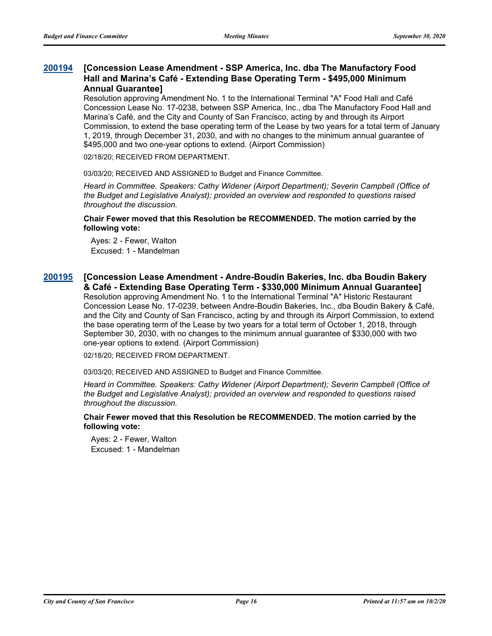### **[Concession Lease Amendment - SSP America, Inc. dba The Manufactory Food Hall and Marina's Café - Extending Base Operating Term - \$495,000 Minimum Annual Guarantee] [200194](http://sfgov.legistar.com/gateway.aspx?m=l&id=35630)**

Resolution approving Amendment No. 1 to the International Terminal "A" Food Hall and Café Concession Lease No. 17-0238, between SSP America, Inc., dba The Manufactory Food Hall and Marina's Café, and the City and County of San Francisco, acting by and through its Airport Commission, to extend the base operating term of the Lease by two years for a total term of January 1, 2019, through December 31, 2030, and with no changes to the minimum annual guarantee of \$495,000 and two one-year options to extend. (Airport Commission)

02/18/20; RECEIVED FROM DEPARTMENT.

03/03/20; RECEIVED AND ASSIGNED to Budget and Finance Committee.

*Heard in Committee. Speakers: Cathy Widener (Airport Department); Severin Campbell (Office of the Budget and Legislative Analyst); provided an overview and responded to questions raised throughout the discussion.*

### **Chair Fewer moved that this Resolution be RECOMMENDED. The motion carried by the following vote:**

Ayes: 2 - Fewer, Walton Excused: 1 - Mandelman

### **[Concession Lease Amendment - Andre-Boudin Bakeries, Inc. dba Boudin Bakery [200195](http://sfgov.legistar.com/gateway.aspx?m=l&id=35631) & Café - Extending Base Operating Term - \$330,000 Minimum Annual Guarantee]**

Resolution approving Amendment No. 1 to the International Terminal "A" Historic Restaurant Concession Lease No. 17-0239, between Andre-Boudin Bakeries, Inc., dba Boudin Bakery & Café, and the City and County of San Francisco, acting by and through its Airport Commission, to extend the base operating term of the Lease by two years for a total term of October 1, 2018, through September 30, 2030, with no changes to the minimum annual guarantee of \$330,000 with two one-year options to extend. (Airport Commission)

02/18/20; RECEIVED FROM DEPARTMENT.

03/03/20; RECEIVED AND ASSIGNED to Budget and Finance Committee.

*Heard in Committee. Speakers: Cathy Widener (Airport Department); Severin Campbell (Office of the Budget and Legislative Analyst); provided an overview and responded to questions raised throughout the discussion.*

### **Chair Fewer moved that this Resolution be RECOMMENDED. The motion carried by the following vote:**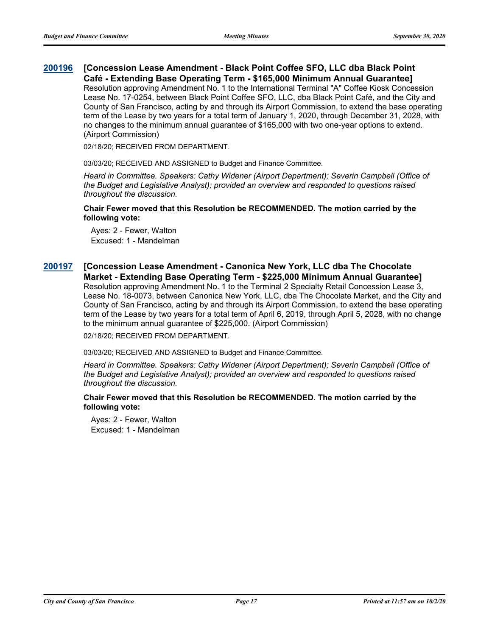#### **[Concession Lease Amendment - Black Point Coffee SFO, LLC dba Black Point Café - Extending Base Operating Term - \$165,000 Minimum Annual Guarantee] [200196](http://sfgov.legistar.com/gateway.aspx?m=l&id=35632)**

Resolution approving Amendment No. 1 to the International Terminal "A" Coffee Kiosk Concession Lease No. 17-0254, between Black Point Coffee SFO, LLC, dba Black Point Café, and the City and County of San Francisco, acting by and through its Airport Commission, to extend the base operating term of the Lease by two years for a total term of January 1, 2020, through December 31, 2028, with no changes to the minimum annual guarantee of \$165,000 with two one-year options to extend. (Airport Commission)

02/18/20; RECEIVED FROM DEPARTMENT.

03/03/20; RECEIVED AND ASSIGNED to Budget and Finance Committee.

*Heard in Committee. Speakers: Cathy Widener (Airport Department); Severin Campbell (Office of the Budget and Legislative Analyst); provided an overview and responded to questions raised throughout the discussion.*

**Chair Fewer moved that this Resolution be RECOMMENDED. The motion carried by the following vote:**

Ayes: 2 - Fewer, Walton Excused: 1 - Mandelman

### **[Concession Lease Amendment - Canonica New York, LLC dba The Chocolate Market - Extending Base Operating Term - \$225,000 Minimum Annual Guarantee] [200197](http://sfgov.legistar.com/gateway.aspx?m=l&id=35633)** Resolution approving Amendment No. 1 to the Terminal 2 Specialty Retail Concession Lease 3,

Lease No. 18-0073, between Canonica New York, LLC, dba The Chocolate Market, and the City and County of San Francisco, acting by and through its Airport Commission, to extend the base operating term of the Lease by two years for a total term of April 6, 2019, through April 5, 2028, with no change to the minimum annual guarantee of \$225,000. (Airport Commission)

02/18/20; RECEIVED FROM DEPARTMENT.

03/03/20; RECEIVED AND ASSIGNED to Budget and Finance Committee.

*Heard in Committee. Speakers: Cathy Widener (Airport Department); Severin Campbell (Office of the Budget and Legislative Analyst); provided an overview and responded to questions raised throughout the discussion.*

**Chair Fewer moved that this Resolution be RECOMMENDED. The motion carried by the following vote:**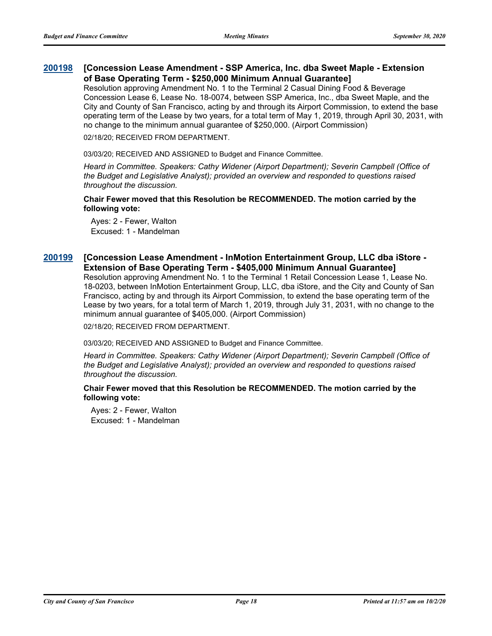#### **[Concession Lease Amendment - SSP America, Inc. dba Sweet Maple - Extension of Base Operating Term - \$250,000 Minimum Annual Guarantee] [200198](http://sfgov.legistar.com/gateway.aspx?m=l&id=35634)**

Resolution approving Amendment No. 1 to the Terminal 2 Casual Dining Food & Beverage Concession Lease 6, Lease No. 18-0074, between SSP America, Inc., dba Sweet Maple, and the City and County of San Francisco, acting by and through its Airport Commission, to extend the base operating term of the Lease by two years, for a total term of May 1, 2019, through April 30, 2031, with no change to the minimum annual guarantee of \$250,000. (Airport Commission)

02/18/20; RECEIVED FROM DEPARTMENT.

03/03/20; RECEIVED AND ASSIGNED to Budget and Finance Committee.

*Heard in Committee. Speakers: Cathy Widener (Airport Department); Severin Campbell (Office of the Budget and Legislative Analyst); provided an overview and responded to questions raised throughout the discussion.*

**Chair Fewer moved that this Resolution be RECOMMENDED. The motion carried by the following vote:**

Ayes: 2 - Fewer, Walton Excused: 1 - Mandelman

#### **[Concession Lease Amendment - InMotion Entertainment Group, LLC dba iStore - Extension of Base Operating Term - \$405,000 Minimum Annual Guarantee] [200199](http://sfgov.legistar.com/gateway.aspx?m=l&id=35635)**

Resolution approving Amendment No. 1 to the Terminal 1 Retail Concession Lease 1, Lease No. 18-0203, between InMotion Entertainment Group, LLC, dba iStore, and the City and County of San Francisco, acting by and through its Airport Commission, to extend the base operating term of the Lease by two years, for a total term of March 1, 2019, through July 31, 2031, with no change to the minimum annual guarantee of \$405,000. (Airport Commission)

02/18/20; RECEIVED FROM DEPARTMENT.

03/03/20; RECEIVED AND ASSIGNED to Budget and Finance Committee.

*Heard in Committee. Speakers: Cathy Widener (Airport Department); Severin Campbell (Office of the Budget and Legislative Analyst); provided an overview and responded to questions raised throughout the discussion.*

### **Chair Fewer moved that this Resolution be RECOMMENDED. The motion carried by the following vote:**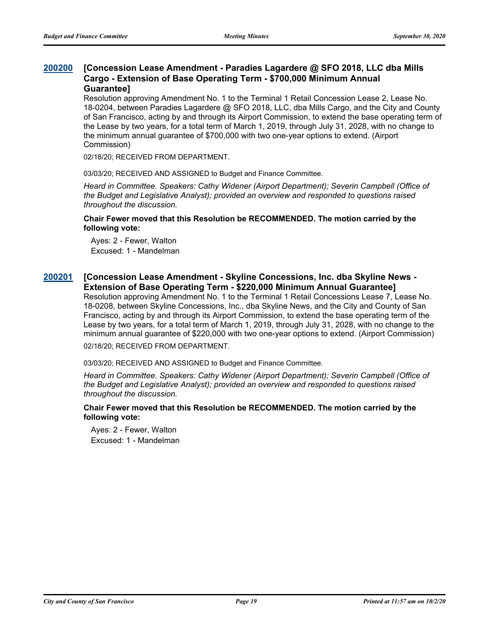#### **[Concession Lease Amendment - Paradies Lagardere @ SFO 2018, LLC dba Mills Cargo - Extension of Base Operating Term - \$700,000 Minimum Annual Guarantee] [200200](http://sfgov.legistar.com/gateway.aspx?m=l&id=35636)**

Resolution approving Amendment No. 1 to the Terminal 1 Retail Concession Lease 2, Lease No. 18-0204, between Paradies Lagardere @ SFO 2018, LLC, dba Mills Cargo, and the City and County of San Francisco, acting by and through its Airport Commission, to extend the base operating term of the Lease by two years, for a total term of March 1, 2019, through July 31, 2028, with no change to the minimum annual guarantee of \$700,000 with two one-year options to extend. (Airport Commission)

02/18/20; RECEIVED FROM DEPARTMENT.

03/03/20; RECEIVED AND ASSIGNED to Budget and Finance Committee.

*Heard in Committee. Speakers: Cathy Widener (Airport Department); Severin Campbell (Office of the Budget and Legislative Analyst); provided an overview and responded to questions raised throughout the discussion.*

### **Chair Fewer moved that this Resolution be RECOMMENDED. The motion carried by the following vote:**

Ayes: 2 - Fewer, Walton Excused: 1 - Mandelman

#### **[Concession Lease Amendment - Skyline Concessions, Inc. dba Skyline News - Extension of Base Operating Term - \$220,000 Minimum Annual Guarantee] [200201](http://sfgov.legistar.com/gateway.aspx?m=l&id=35637)**

Resolution approving Amendment No. 1 to the Terminal 1 Retail Concessions Lease 7, Lease No. 18-0208, between Skyline Concessions, Inc., dba Skyline News, and the City and County of San Francisco, acting by and through its Airport Commission, to extend the base operating term of the Lease by two years, for a total term of March 1, 2019, through July 31, 2028, with no change to the minimum annual guarantee of \$220,000 with two one-year options to extend. (Airport Commission) 02/18/20; RECEIVED FROM DEPARTMENT.

03/03/20; RECEIVED AND ASSIGNED to Budget and Finance Committee.

*Heard in Committee. Speakers: Cathy Widener (Airport Department); Severin Campbell (Office of the Budget and Legislative Analyst); provided an overview and responded to questions raised throughout the discussion.*

### **Chair Fewer moved that this Resolution be RECOMMENDED. The motion carried by the following vote:**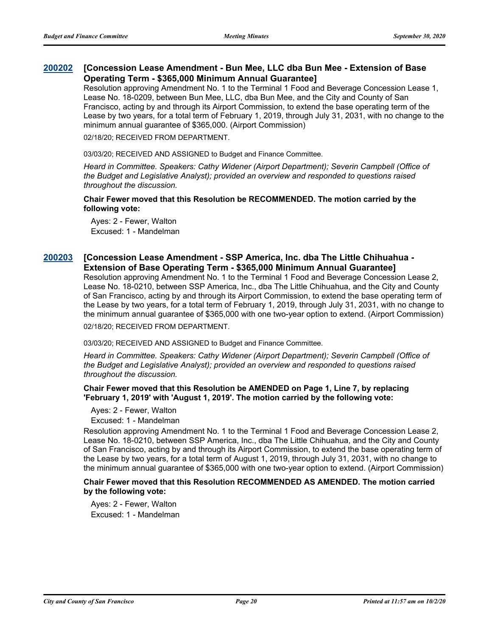#### **[Concession Lease Amendment - Bun Mee, LLC dba Bun Mee - Extension of Base Operating Term - \$365,000 Minimum Annual Guarantee] [200202](http://sfgov.legistar.com/gateway.aspx?m=l&id=35638)**

Resolution approving Amendment No. 1 to the Terminal 1 Food and Beverage Concession Lease 1, Lease No. 18-0209, between Bun Mee, LLC, dba Bun Mee, and the City and County of San Francisco, acting by and through its Airport Commission, to extend the base operating term of the Lease by two years, for a total term of February 1, 2019, through July 31, 2031, with no change to the minimum annual guarantee of \$365,000. (Airport Commission)

02/18/20; RECEIVED FROM DEPARTMENT.

03/03/20; RECEIVED AND ASSIGNED to Budget and Finance Committee.

*Heard in Committee. Speakers: Cathy Widener (Airport Department); Severin Campbell (Office of the Budget and Legislative Analyst); provided an overview and responded to questions raised throughout the discussion.*

**Chair Fewer moved that this Resolution be RECOMMENDED. The motion carried by the following vote:**

Ayes: 2 - Fewer, Walton Excused: 1 - Mandelman

#### **[Concession Lease Amendment - SSP America, Inc. dba The Little Chihuahua - Extension of Base Operating Term - \$365,000 Minimum Annual Guarantee] [200203](http://sfgov.legistar.com/gateway.aspx?m=l&id=35639)**

Resolution approving Amendment No. 1 to the Terminal 1 Food and Beverage Concession Lease 2, Lease No. 18-0210, between SSP America, Inc., dba The Little Chihuahua, and the City and County of San Francisco, acting by and through its Airport Commission, to extend the base operating term of the Lease by two years, for a total term of February 1, 2019, through July 31, 2031, with no change to the minimum annual guarantee of \$365,000 with one two-year option to extend. (Airport Commission)

02/18/20; RECEIVED FROM DEPARTMENT.

03/03/20; RECEIVED AND ASSIGNED to Budget and Finance Committee.

*Heard in Committee. Speakers: Cathy Widener (Airport Department); Severin Campbell (Office of the Budget and Legislative Analyst); provided an overview and responded to questions raised throughout the discussion.*

### **Chair Fewer moved that this Resolution be AMENDED on Page 1, Line 7, by replacing 'February 1, 2019' with 'August 1, 2019'. The motion carried by the following vote:**

Ayes: 2 - Fewer, Walton

Excused: 1 - Mandelman

Resolution approving Amendment No. 1 to the Terminal 1 Food and Beverage Concession Lease 2, Lease No. 18-0210, between SSP America, Inc., dba The Little Chihuahua, and the City and County of San Francisco, acting by and through its Airport Commission, to extend the base operating term of the Lease by two years, for a total term of August 1, 2019, through July 31, 2031, with no change to the minimum annual guarantee of \$365,000 with one two-year option to extend. (Airport Commission)

### **Chair Fewer moved that this Resolution RECOMMENDED AS AMENDED. The motion carried by the following vote:**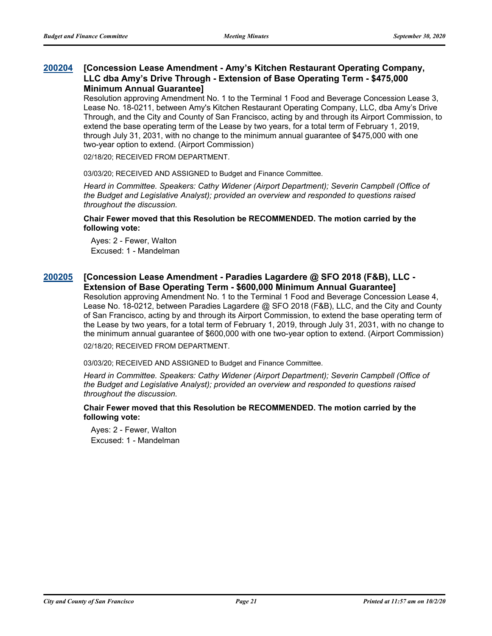### **[Concession Lease Amendment - Amy's Kitchen Restaurant Operating Company, LLC dba Amy's Drive Through - Extension of Base Operating Term - \$475,000 Minimum Annual Guarantee] [200204](http://sfgov.legistar.com/gateway.aspx?m=l&id=35640)**

Resolution approving Amendment No. 1 to the Terminal 1 Food and Beverage Concession Lease 3, Lease No. 18-0211, between Amy's Kitchen Restaurant Operating Company, LLC, dba Amy's Drive Through, and the City and County of San Francisco, acting by and through its Airport Commission, to extend the base operating term of the Lease by two years, for a total term of February 1, 2019, through July 31, 2031, with no change to the minimum annual guarantee of \$475,000 with one two-year option to extend. (Airport Commission)

02/18/20; RECEIVED FROM DEPARTMENT.

03/03/20; RECEIVED AND ASSIGNED to Budget and Finance Committee.

*Heard in Committee. Speakers: Cathy Widener (Airport Department); Severin Campbell (Office of the Budget and Legislative Analyst); provided an overview and responded to questions raised throughout the discussion.*

### **Chair Fewer moved that this Resolution be RECOMMENDED. The motion carried by the following vote:**

Ayes: 2 - Fewer, Walton Excused: 1 - Mandelman

### **[Concession Lease Amendment - Paradies Lagardere @ SFO 2018 (F&B), LLC - [200205](http://sfgov.legistar.com/gateway.aspx?m=l&id=35641) Extension of Base Operating Term - \$600,000 Minimum Annual Guarantee]**

Resolution approving Amendment No. 1 to the Terminal 1 Food and Beverage Concession Lease 4, Lease No. 18-0212, between Paradies Lagardere @ SFO 2018 (F&B), LLC, and the City and County of San Francisco, acting by and through its Airport Commission, to extend the base operating term of the Lease by two years, for a total term of February 1, 2019, through July 31, 2031, with no change to the minimum annual guarantee of \$600,000 with one two-year option to extend. (Airport Commission) 02/18/20; RECEIVED FROM DEPARTMENT.

03/03/20; RECEIVED AND ASSIGNED to Budget and Finance Committee.

*Heard in Committee. Speakers: Cathy Widener (Airport Department); Severin Campbell (Office of the Budget and Legislative Analyst); provided an overview and responded to questions raised throughout the discussion.*

### **Chair Fewer moved that this Resolution be RECOMMENDED. The motion carried by the following vote:**